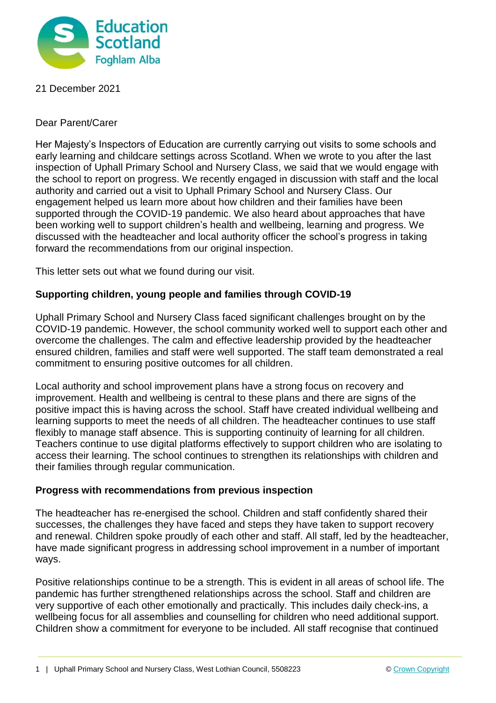

# 21 December 2021

# Dear Parent/Carer

Her Majesty's Inspectors of Education are currently carrying out visits to some schools and early learning and childcare settings across Scotland. When we wrote to you after the last inspection of Uphall Primary School and Nursery Class, we said that we would engage with the school to report on progress. We recently engaged in discussion with staff and the local authority and carried out a visit to Uphall Primary School and Nursery Class. Our engagement helped us learn more about how children and their families have been supported through the COVID-19 pandemic. We also heard about approaches that have been working well to support children's health and wellbeing, learning and progress. We discussed with the headteacher and local authority officer the school's progress in taking forward the recommendations from our original inspection.

This letter sets out what we found during our visit.

# **Supporting children, young people and families through COVID-19**

Uphall Primary School and Nursery Class faced significant challenges brought on by the COVID-19 pandemic. However, the school community worked well to support each other and overcome the challenges. The calm and effective leadership provided by the headteacher ensured children, families and staff were well supported. The staff team demonstrated a real commitment to ensuring positive outcomes for all children.

Local authority and school improvement plans have a strong focus on recovery and improvement. Health and wellbeing is central to these plans and there are signs of the positive impact this is having across the school. Staff have created individual wellbeing and learning supports to meet the needs of all children. The headteacher continues to use staff flexibly to manage staff absence. This is supporting continuity of learning for all children. Teachers continue to use digital platforms effectively to support children who are isolating to access their learning. The school continues to strengthen its relationships with children and their families through regular communication.

### **Progress with recommendations from previous inspection**

The headteacher has re-energised the school. Children and staff confidently shared their successes, the challenges they have faced and steps they have taken to support recovery and renewal. Children spoke proudly of each other and staff. All staff, led by the headteacher, have made significant progress in addressing school improvement in a number of important ways.

Positive relationships continue to be a strength. This is evident in all areas of school life. The pandemic has further strengthened relationships across the school. Staff and children are very supportive of each other emotionally and practically. This includes daily check-ins, a wellbeing focus for all assemblies and counselling for children who need additional support. Children show a commitment for everyone to be included. All staff recognise that continued